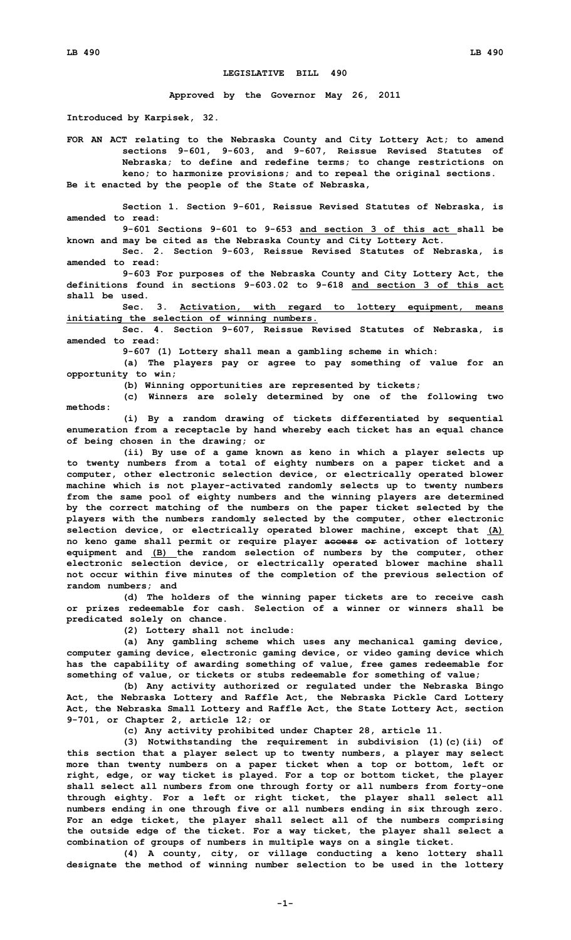## **LEGISLATIVE BILL 490**

**Approved by the Governor May 26, 2011**

**Introduced by Karpisek, 32.**

**FOR AN ACT relating to the Nebraska County and City Lottery Act; to amend sections 9-601, 9-603, and 9-607, Reissue Revised Statutes of Nebraska; to define and redefine terms; to change restrictions on keno; to harmonize provisions; and to repeal the original sections. Be it enacted by the people of the State of Nebraska,**

**Section 1. Section 9-601, Reissue Revised Statutes of Nebraska, is amended to read:**

**9-601 Sections 9-601 to 9-653 and section 3 of this act shall be known and may be cited as the Nebraska County and City Lottery Act.**

**Sec. 2. Section 9-603, Reissue Revised Statutes of Nebraska, is amended to read:**

**9-603 For purposes of the Nebraska County and City Lottery Act, the definitions found in sections 9-603.02 to 9-618 and section 3 of this act shall be used.**

**Sec. 3. Activation, with regard to lottery equipment, means initiating the selection of winning numbers.**

**Sec. 4. Section 9-607, Reissue Revised Statutes of Nebraska, is amended to read:**

**9-607 (1) Lottery shall mean <sup>a</sup> gambling scheme in which:**

**(a) The players pay or agree to pay something of value for an opportunity to win;**

**(b) Winning opportunities are represented by tickets;**

**(c) Winners are solely determined by one of the following two methods:**

**(i) By <sup>a</sup> random drawing of tickets differentiated by sequential enumeration from <sup>a</sup> receptacle by hand whereby each ticket has an equal chance of being chosen in the drawing; or**

**(ii) By use of <sup>a</sup> game known as keno in which <sup>a</sup> player selects up to twenty numbers from <sup>a</sup> total of eighty numbers on <sup>a</sup> paper ticket and <sup>a</sup> computer, other electronic selection device, or electrically operated blower machine which is not player-activated randomly selects up to twenty numbers from the same pool of eighty numbers and the winning players are determined by the correct matching of the numbers on the paper ticket selected by the players with the numbers randomly selected by the computer, other electronic selection device, or electrically operated blower machine, except that (A) no keno game shall permit or require player access or activation of lottery equipment and (B) the random selection of numbers by the computer, other electronic selection device, or electrically operated blower machine shall not occur within five minutes of the completion of the previous selection of random numbers; and**

**(d) The holders of the winning paper tickets are to receive cash or prizes redeemable for cash. Selection of <sup>a</sup> winner or winners shall be predicated solely on chance.**

**(2) Lottery shall not include:**

**(a) Any gambling scheme which uses any mechanical gaming device, computer gaming device, electronic gaming device, or video gaming device which has the capability of awarding something of value, free games redeemable for something of value, or tickets or stubs redeemable for something of value;**

**(b) Any activity authorized or regulated under the Nebraska Bingo Act, the Nebraska Lottery and Raffle Act, the Nebraska Pickle Card Lottery Act, the Nebraska Small Lottery and Raffle Act, the State Lottery Act, section 9-701, or Chapter 2, article 12; or**

**(c) Any activity prohibited under Chapter 28, article 11.**

**(3) Notwithstanding the requirement in subdivision (1)(c)(ii) of this section that <sup>a</sup> player select up to twenty numbers, <sup>a</sup> player may select more than twenty numbers on <sup>a</sup> paper ticket when <sup>a</sup> top or bottom, left or right, edge, or way ticket is played. For <sup>a</sup> top or bottom ticket, the player shall select all numbers from one through forty or all numbers from forty-one through eighty. For <sup>a</sup> left or right ticket, the player shall select all numbers ending in one through five or all numbers ending in six through zero. For an edge ticket, the player shall select all of the numbers comprising the outside edge of the ticket. For <sup>a</sup> way ticket, the player shall select <sup>a</sup> combination of groups of numbers in multiple ways on <sup>a</sup> single ticket.**

**(4) <sup>A</sup> county, city, or village conducting <sup>a</sup> keno lottery shall designate the method of winning number selection to be used in the lottery**